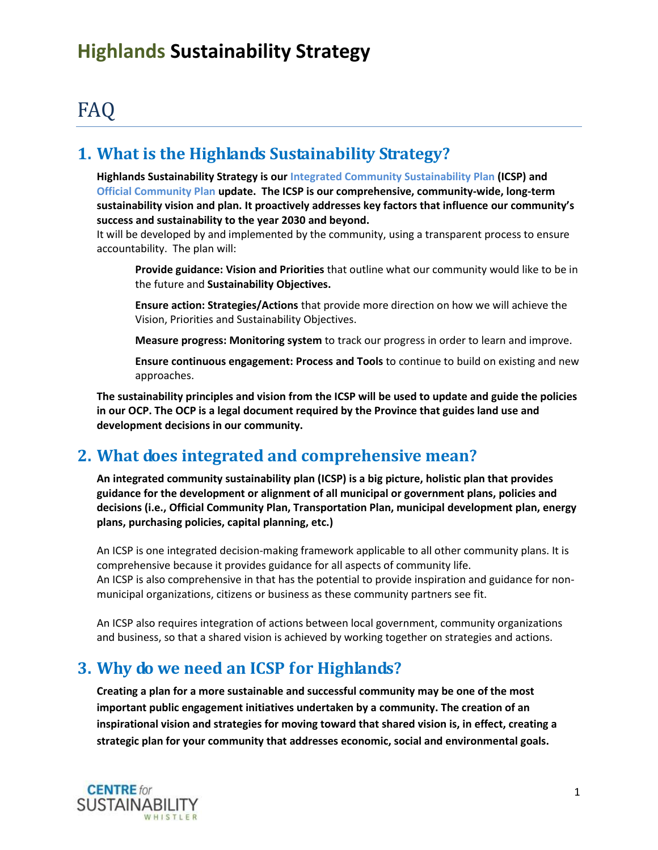# FAQ

#### **1. What is the Highlands Sustainability Strategy?**

**Highlands Sustainability Strategy is our Integrated Community Sustainability Plan (ICSP) and Official Community Plan update. The ICSP is our comprehensive, community-wide, long-term sustainability vision and plan. It proactively addresses key factors that influence our community's success and sustainability to the year 2030 and beyond.** 

It will be developed by and implemented by the community, using a transparent process to ensure accountability. The plan will:

**Provide guidance: Vision and Priorities** that outline what our community would like to be in the future and **Sustainability Objectives.**

**Ensure action: Strategies/Actions** that provide more direction on how we will achieve the Vision, Priorities and Sustainability Objectives.

**Measure progress: Monitoring system** to track our progress in order to learn and improve.

**Ensure continuous engagement: Process and Tools** to continue to build on existing and new approaches.

**The sustainability principles and vision from the ICSP will be used to update and guide the policies in our OCP. The OCP is a legal document required by the Province that guides land use and development decisions in our community.** 

#### **2. What does integrated and comprehensive mean?**

**An integrated community sustainability plan (ICSP) is a big picture, holistic plan that provides guidance for the development or alignment of all municipal or government plans, policies and decisions (i.e., Official Community Plan, Transportation Plan, municipal development plan, energy plans, purchasing policies, capital planning, etc.)** 

An ICSP is one integrated decision-making framework applicable to all other community plans. It is comprehensive because it provides guidance for all aspects of community life. An ICSP is also comprehensive in that has the potential to provide inspiration and guidance for nonmunicipal organizations, citizens or business as these community partners see fit.

An ICSP also requires integration of actions between local government, community organizations and business, so that a shared vision is achieved by working together on strategies and actions.

### **3. Why do we need an ICSP for Highlands?**

**Creating a plan for a more sustainable and successful community may be one of the most important public engagement initiatives undertaken by a community. The creation of an inspirational vision and strategies for moving toward that shared vision is, in effect, creating a strategic plan for your community that addresses economic, social and environmental goals.** 

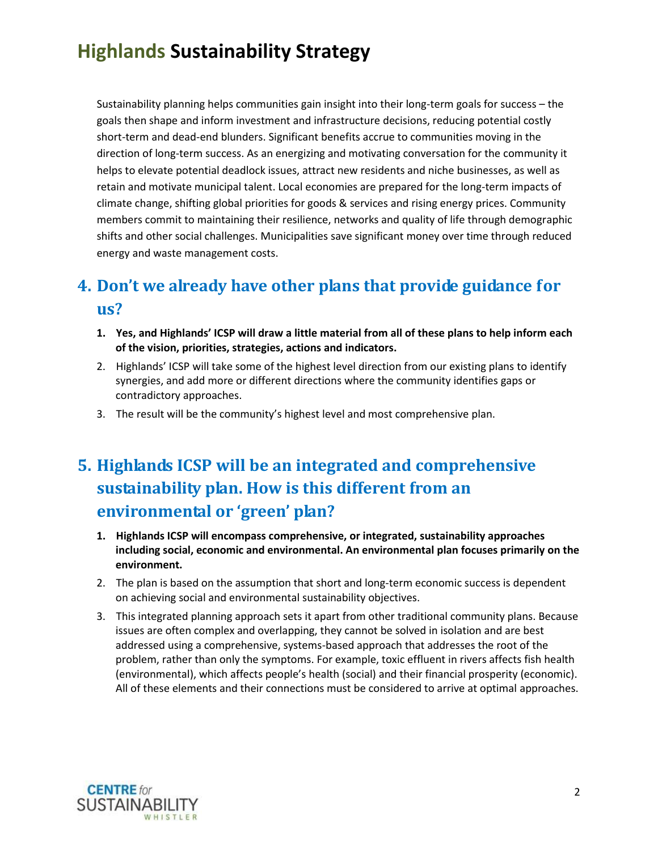Sustainability planning helps communities gain insight into their long-term goals for success – the goals then shape and inform investment and infrastructure decisions, reducing potential costly short-term and dead-end blunders. Significant benefits accrue to communities moving in the direction of long-term success. As an energizing and motivating conversation for the community it helps to elevate potential deadlock issues, attract new residents and niche businesses, as well as retain and motivate municipal talent. Local economies are prepared for the long-term impacts of climate change, shifting global priorities for goods & services and rising energy prices. Community members commit to maintaining their resilience, networks and quality of life through demographic shifts and other social challenges. Municipalities save significant money over time through reduced energy and waste management costs.

## **4. Don't we already have other plans that provide guidance for us?**

- **1. Yes, and Highlands' ICSP will draw a little material from all of these plans to help inform each of the vision, priorities, strategies, actions and indicators.**
- 2. Highlands' ICSP will take some of the highest level direction from our existing plans to identify synergies, and add more or different directions where the community identifies gaps or contradictory approaches.
- 3. The result will be the community's highest level and most comprehensive plan.

### **5. Highlands ICSP will be an integrated and comprehensive sustainability plan. How is this different from an environmental or 'green' plan?**

- **1. Highlands ICSP will encompass comprehensive, or integrated, sustainability approaches including social, economic and environmental. An environmental plan focuses primarily on the environment.**
- 2. The plan is based on the assumption that short and long-term economic success is dependent on achieving social and environmental sustainability objectives.
- 3. This integrated planning approach sets it apart from other traditional community plans. Because issues are often complex and overlapping, they cannot be solved in isolation and are best addressed using a comprehensive, systems-based approach that addresses the root of the problem, rather than only the symptoms. For example, toxic effluent in rivers affects fish health (environmental), which affects people's health (social) and their financial prosperity (economic). All of these elements and their connections must be considered to arrive at optimal approaches.

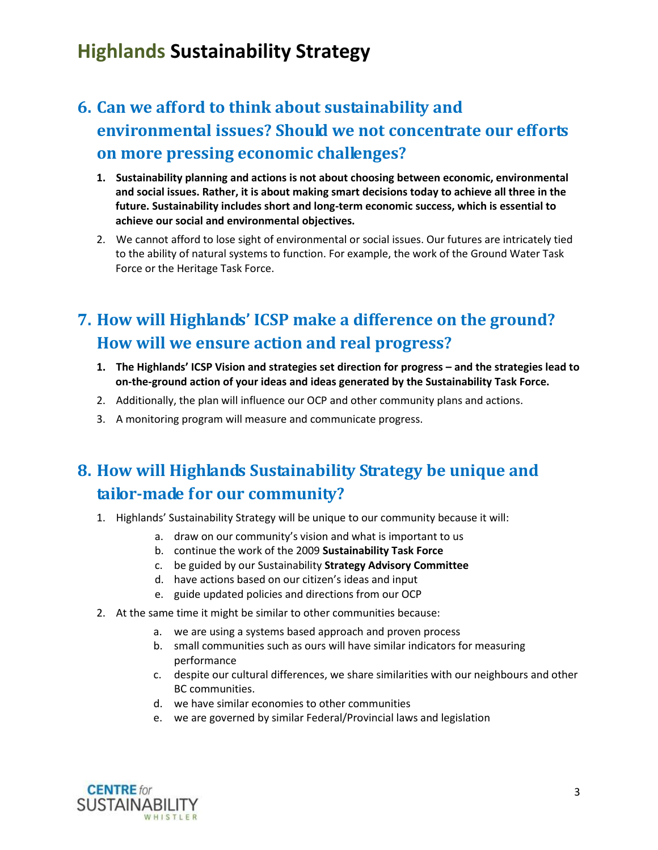## **6. Can we afford to think about sustainability and environmental issues? Should we not concentrate our efforts on more pressing economic challenges?**

- **1. Sustainability planning and actions is not about choosing between economic, environmental and social issues. Rather, it is about making smart decisions today to achieve all three in the future. Sustainability includes short and long-term economic success, which is essential to achieve our social and environmental objectives.**
- 2. We cannot afford to lose sight of environmental or social issues. Our futures are intricately tied to the ability of natural systems to function. For example, the work of the Ground Water Task Force or the Heritage Task Force.

### **7. How will Highlands' ICSP make a difference on the ground? How will we ensure action and real progress?**

- **1. The Highlands' ICSP Vision and strategies set direction for progress – and the strategies lead to on-the-ground action of your ideas and ideas generated by the Sustainability Task Force.**
- 2. Additionally, the plan will influence our OCP and other community plans and actions.
- 3. A monitoring program will measure and communicate progress.

## **8. How will Highlands Sustainability Strategy be unique and tailor-made for our community?**

- 1. Highlands' Sustainability Strategy will be unique to our community because it will:
	- a. draw on our community's vision and what is important to us
	- b. continue the work of the 2009 **Sustainability Task Force**
	- c. be guided by our Sustainability **Strategy Advisory Committee**
	- d. have actions based on our citizen's ideas and input
	- e. guide updated policies and directions from our OCP
- 2. At the same time it might be similar to other communities because:
	- a. we are using a systems based approach and proven process
	- b. small communities such as ours will have similar indicators for measuring performance
	- c. despite our cultural differences, we share similarities with our neighbours and other BC communities.
	- d. we have similar economies to other communities
	- e. we are governed by similar Federal/Provincial laws and legislation

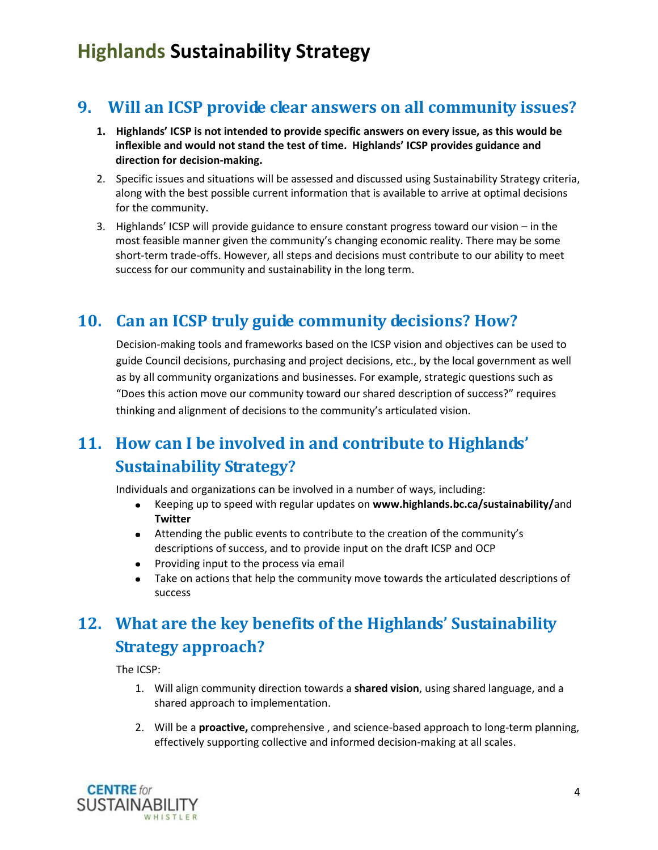### **9. Will an ICSP provide clear answers on all community issues?**

- **1. Highlands' ICSP is not intended to provide specific answers on every issue, as this would be inflexible and would not stand the test of time. Highlands' ICSP provides guidance and direction for decision-making.**
- 2. Specific issues and situations will be assessed and discussed using Sustainability Strategy criteria, along with the best possible current information that is available to arrive at optimal decisions for the community.
- 3. Highlands' ICSP will provide guidance to ensure constant progress toward our vision in the most feasible manner given the community's changing economic reality. There may be some short-term trade-offs. However, all steps and decisions must contribute to our ability to meet success for our community and sustainability in the long term.

#### **10. Can an ICSP truly guide community decisions? How?**

Decision-making tools and frameworks based on the ICSP vision and objectives can be used to guide Council decisions, purchasing and project decisions, etc., by the local government as well as by all community organizations and businesses. For example, strategic questions such as "Does this action move our community toward our shared description of success?" requires thinking and alignment of decisions to the community's articulated vision.

## **11. How can I be involved in and contribute to Highlands' Sustainability Strategy?**

Individuals and organizations can be involved in a number of ways, including:

- Keeping up to speed with regular updates on **www.highlands.bc.ca/sustainability/**and  $\bullet$ **Twitter**
- Attending the public events to contribute to the creation of the community's descriptions of success, and to provide input on the draft ICSP and OCP
- Providing input to the process via email  $\bullet$  .
- Take on actions that help the community move towards the articulated descriptions of  $\bullet$ success

### **12. What are the key benefits of the Highlands' Sustainability Strategy approach?**

The ICSP:

- 1. Will align community direction towards a **shared vision**, using shared language, and a shared approach to implementation.
- 2. Will be a **proactive,** comprehensive , and science-based approach to long-term planning, effectively supporting collective and informed decision-making at all scales.